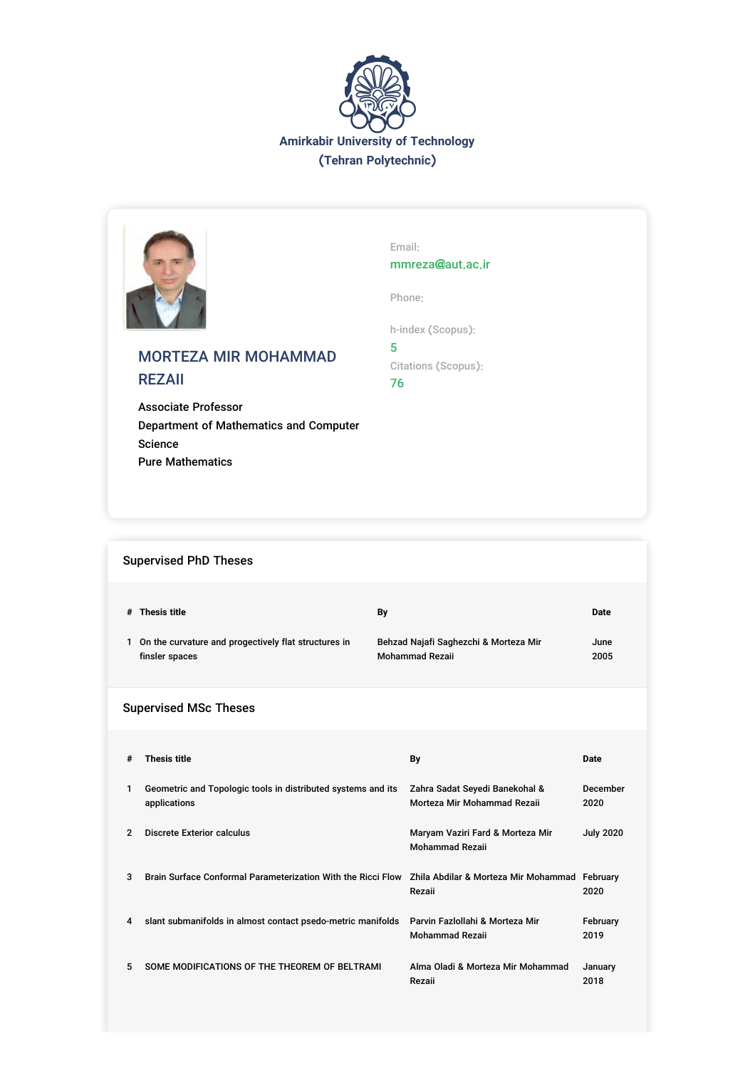



# MORTEZA MIR MOHAMMAD REZAII

Associate Professor Department of Mathematics and Computer Science Pure Mathematics

Email: mmreza@aut.ac.ir

Phone:

h-index (Scopus):

5 Citations (Scopus): 76

## Supervised PhD Theses

|                | # Thesis title<br>1 On the curvature and progectively flat structures in<br>finsler spaces | Bγ<br>Behzad Najafi Saghezchi & Morteza Mir<br><b>Mohammad Rezaii</b> | <b>Date</b><br>June<br>2005 |
|----------------|--------------------------------------------------------------------------------------------|-----------------------------------------------------------------------|-----------------------------|
|                | <b>Supervised MSc Theses</b>                                                               |                                                                       |                             |
| #              | <b>Thesis title</b>                                                                        | By                                                                    | <b>Date</b>                 |
| 1              | Geometric and Topologic tools in distributed systems and its<br>applications               | Zahra Sadat Seyedi Banekohal &<br>Morteza Mir Mohammad Rezaii         | December<br>2020            |
| $\overline{2}$ | <b>Discrete Exterior calculus</b>                                                          | Maryam Vaziri Fard & Morteza Mir<br><b>Mohammad Rezaii</b>            | <b>July 2020</b>            |
| 3              | Brain Surface Conformal Parameterization With the Ricci Flow                               | Zhila Abdilar & Morteza Mir Mohammad February<br>Rezaii               | 2020                        |
| 4              | slant submanifolds in almost contact psedo-metric manifolds                                | Parvin Fazlollahi & Morteza Mir<br><b>Mohammad Rezaii</b>             | February<br>2019            |
| 5              | SOME MODIFICATIONS OF THE THEOREM OF BELTRAMI                                              | Alma Oladi & Morteza Mir Mohammad<br>Rezaii                           | January<br>2018             |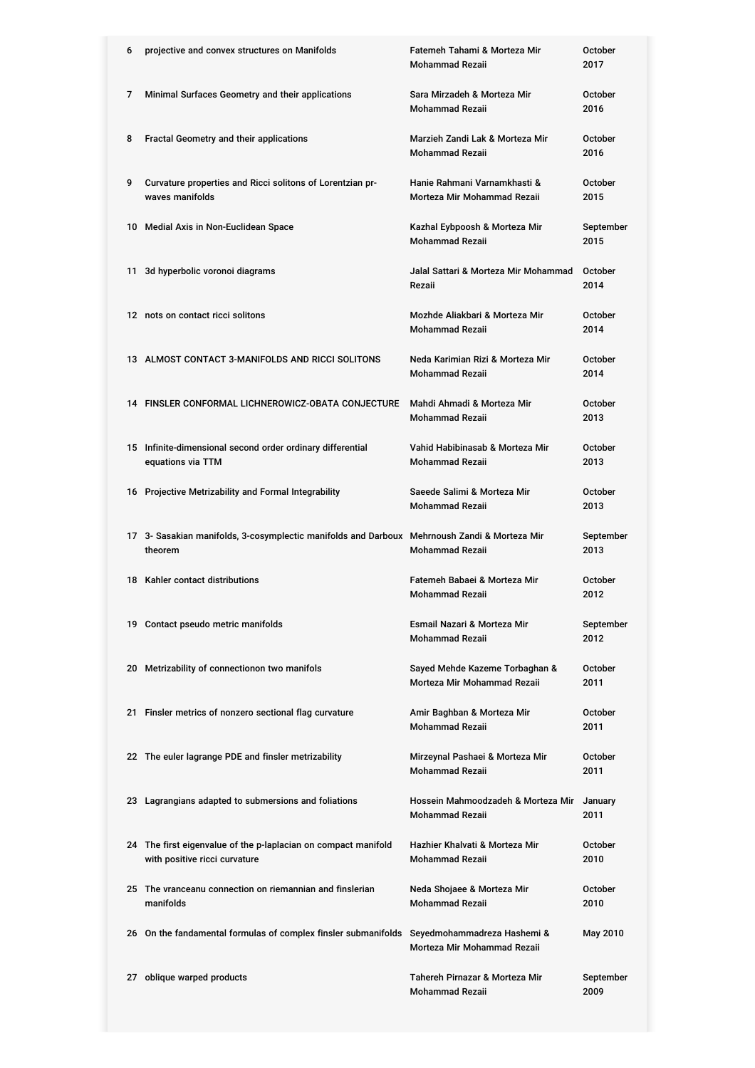| 6  | projective and convex structures on Manifolds                                                   | Fatemeh Tahami & Morteza Mir<br><b>Mohammad Rezaii</b>        | October<br>2017        |
|----|-------------------------------------------------------------------------------------------------|---------------------------------------------------------------|------------------------|
| 7  | Minimal Surfaces Geometry and their applications                                                | Sara Mirzadeh & Morteza Mir<br><b>Mohammad Rezaii</b>         | <b>October</b><br>2016 |
| 8  | Fractal Geometry and their applications                                                         | Marzieh Zandi Lak & Morteza Mir<br><b>Mohammad Rezaii</b>     | <b>October</b><br>2016 |
| 9  | Curvature properties and Ricci solitons of Lorentzian pr-<br>waves manifolds                    | Hanie Rahmani Varnamkhasti &<br>Morteza Mir Mohammad Rezaii   | October<br>2015        |
|    | 10 Medial Axis in Non-Euclidean Space                                                           | Kazhal Eybpoosh & Morteza Mir<br><b>Mohammad Rezaii</b>       | September<br>2015      |
| 11 | 3d hyperbolic voronoi diagrams                                                                  | Jalal Sattari & Morteza Mir Mohammad<br>Rezaii                | October<br>2014        |
|    | 12 nots on contact ricci solitons                                                               | Mozhde Aliakbari & Morteza Mir<br><b>Mohammad Rezaii</b>      | <b>October</b><br>2014 |
|    | 13 ALMOST CONTACT 3-MANIFOLDS AND RICCI SOLITONS                                                | Neda Karimian Rizi & Morteza Mir<br><b>Mohammad Rezaii</b>    | <b>October</b><br>2014 |
|    | 14 FINSLER CONFORMAL LICHNEROWICZ-OBATA CONJECTURE                                              | Mahdi Ahmadi & Morteza Mir<br><b>Mohammad Rezaii</b>          | October<br>2013        |
|    | 15 Infinite-dimensional second order ordinary differential<br>equations via TTM                 | Vahid Habibinasab & Morteza Mir<br><b>Mohammad Rezaii</b>     | <b>October</b><br>2013 |
|    | 16 Projective Metrizability and Formal Integrability                                            | Saeede Salimi & Morteza Mir<br><b>Mohammad Rezaii</b>         | October<br>2013        |
|    |                                                                                                 |                                                               |                        |
|    | 17 3- Sasakian manifolds, 3-cosymplectic manifolds and Darboux<br>theorem                       | Mehrnoush Zandi & Morteza Mir<br><b>Mohammad Rezaii</b>       | September<br>2013      |
|    | 18 Kahler contact distributions                                                                 | Fatemeh Babaei & Morteza Mir<br><b>Mohammad Rezaii</b>        | <b>October</b><br>2012 |
|    | 19 Contact pseudo metric manifolds                                                              | Esmail Nazari & Morteza Mir<br><b>Mohammad Rezaii</b>         | September<br>2012      |
|    | 20 Metrizability of connectionon two manifols                                                   | Sayed Mehde Kazeme Torbaghan &<br>Morteza Mir Mohammad Rezaii | October<br>2011        |
|    | 21 Finsler metrics of nonzero sectional flag curvature                                          | Amir Baghban & Morteza Mir<br><b>Mohammad Rezaii</b>          | October<br>2011        |
|    | 22 The euler lagrange PDE and finsler metrizability                                             | Mirzeynal Pashaei & Morteza Mir<br><b>Mohammad Rezaii</b>     | October<br>2011        |
|    | 23 Lagrangians adapted to submersions and foliations                                            | Hossein Mahmoodzadeh & Morteza Mir<br><b>Mohammad Rezaii</b>  | January<br>2011        |
|    | 24 The first eigenvalue of the p-laplacian on compact manifold<br>with positive ricci curvature | Hazhier Khalvati & Morteza Mir<br><b>Mohammad Rezaii</b>      | <b>October</b><br>2010 |
|    | 25 The vranceanu connection on riemannian and finslerian<br>manifolds                           | Neda Shojaee & Morteza Mir<br><b>Mohammad Rezaii</b>          | October<br>2010        |
|    | 26 On the fandamental formulas of complex finsler submanifolds Seyedmohammadreza Hashemi &      | Morteza Mir Mohammad Rezaii                                   | May 2010               |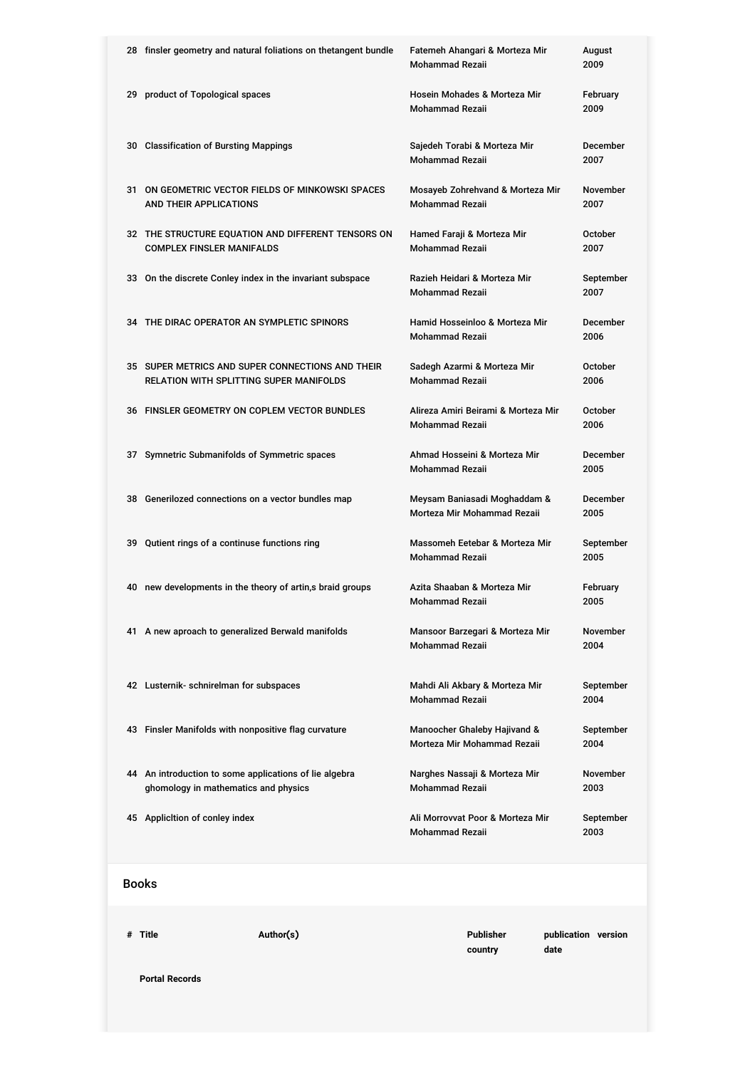|              | 28 finsler geometry and natural foliations on thetangent bundle                                | Fatemeh Ahangari & Morteza Mir<br><b>Mohammad Rezaii</b>      | August<br>2009          |
|--------------|------------------------------------------------------------------------------------------------|---------------------------------------------------------------|-------------------------|
|              | 29 product of Topological spaces                                                               | Hosein Mohades & Morteza Mir<br><b>Mohammad Rezaii</b>        | February<br>2009        |
|              | 30 Classification of Bursting Mappings                                                         | Sajedeh Torabi & Morteza Mir<br><b>Mohammad Rezaii</b>        | December<br>2007        |
|              | 31 ON GEOMETRIC VECTOR FIELDS OF MINKOWSKI SPACES<br>AND THEIR APPLICATIONS                    | Mosayeb Zohrehvand & Morteza Mir<br><b>Mohammad Rezaii</b>    | November<br>2007        |
|              | 32 THE STRUCTURE EQUATION AND DIFFERENT TENSORS ON<br><b>COMPLEX FINSLER MANIFALDS</b>         | Hamed Faraji & Morteza Mir<br><b>Mohammad Rezaii</b>          | October<br>2007         |
|              | 33 On the discrete Conley index in the invariant subspace                                      | Razieh Heidari & Morteza Mir<br><b>Mohammad Rezaii</b>        | September<br>2007       |
|              | 34 THE DIRAC OPERATOR AN SYMPLETIC SPINORS                                                     | Hamid Hosseinloo & Morteza Mir<br><b>Mohammad Rezaii</b>      | December<br>2006        |
|              | 35 SUPER METRICS AND SUPER CONNECTIONS AND THEIR<br>RELATION WITH SPLITTING SUPER MANIFOLDS    | Sadegh Azarmi & Morteza Mir<br><b>Mohammad Rezaii</b>         | October<br>2006         |
|              | 36 FINSLER GEOMETRY ON COPLEM VECTOR BUNDLES                                                   | Alireza Amiri Beirami & Morteza Mir<br><b>Mohammad Rezaii</b> | October<br>2006         |
|              | 37 Symnetric Submanifolds of Symmetric spaces                                                  | Ahmad Hosseini & Morteza Mir<br><b>Mohammad Rezaii</b>        | December<br>2005        |
|              | 38 Generilozed connections on a vector bundles map                                             | Meysam Baniasadi Moghaddam &<br>Morteza Mir Mohammad Rezaii   | December<br>2005        |
|              | 39 Qutient rings of a continuse functions ring                                                 | Massomeh Eetebar & Morteza Mir<br><b>Mohammad Rezaii</b>      | September<br>2005       |
|              | 40 new developments in the theory of artin,s braid groups                                      | Azita Shaaban & Morteza Mir<br><b>Mohammad Rezaii</b>         | February<br>2005        |
|              | 41 A new aproach to generalized Berwald manifolds                                              | Mansoor Barzegari & Morteza Mir<br>Mohammad Rezaii            | November<br>2004        |
|              | 42 Lusternik- schnirelman for subspaces                                                        | Mahdi Ali Akbary & Morteza Mir<br><b>Mohammad Rezaii</b>      | September<br>2004       |
|              | 43 Finsler Manifolds with nonpositive flag curvature                                           | Manoocher Ghaleby Hajivand &<br>Morteza Mir Mohammad Rezaii   | September<br>2004       |
|              | 44 An introduction to some applications of lie algebra<br>ghomology in mathematics and physics | Narghes Nassaji & Morteza Mir<br><b>Mohammad Rezaii</b>       | <b>November</b><br>2003 |
|              | 45 Applicition of conley index                                                                 | Ali Morrovvat Poor & Morteza Mir<br>Mohammad Rezaii           | September<br>2003       |
| <b>Books</b> |                                                                                                |                                                               |                         |
|              |                                                                                                |                                                               |                         |

**# Title Author(s) Publisher**

**Portal Records**

**country**

**publication version**

**date**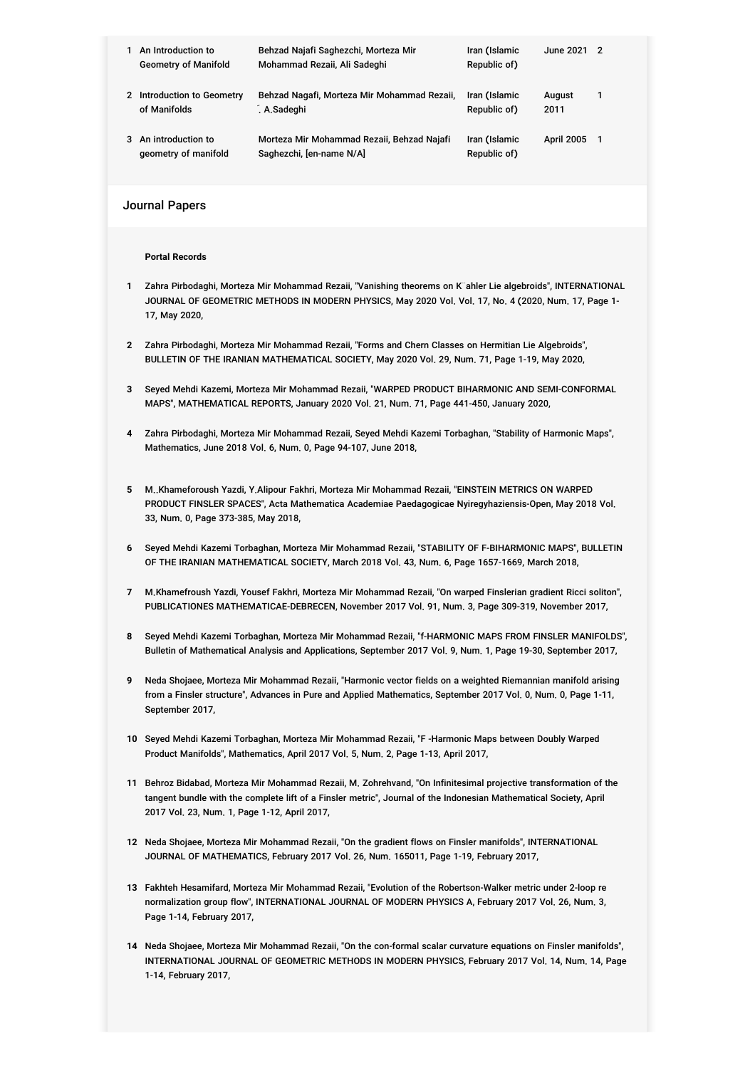|   | An Introduction to          | Behzad Najafi Saghezchi, Morteza Mir        | Iran (Islamic | June 2021 2 |   |
|---|-----------------------------|---------------------------------------------|---------------|-------------|---|
|   | <b>Geometry of Manifold</b> | Mohammad Rezaii, Ali Sadeghi                | Republic of)  |             |   |
|   |                             |                                             |               |             |   |
|   | 2 Introduction to Geometry  | Behzad Nagafi, Morteza Mir Mohammad Rezaii, | Iran (Islamic | August      | 1 |
|   | of Manifolds                | . A.Sadeghi                                 | Republic of)  | 2011        |   |
|   |                             |                                             |               |             |   |
| 3 | An introduction to          | Morteza Mir Mohammad Rezaii, Behzad Najafi  | Iran (Islamic | April 2005  | 1 |
|   | geometry of manifold        | Saghezchi, [en-name N/A]                    | Republic of)  |             |   |

Journal Papers

**Portal Records**

- **1** Zahra Pirbodaghi, Morteza Mir Mohammad Rezaii, "Vanishing theorems on K¨ahler Lie algebroids", INTERNATIONAL JOURNAL OF GEOMETRIC METHODS IN MODERN PHYSICS, May 2020 Vol. Vol. 17, No. 4 (2020, Num. 17, Page 1- 17, May 2020,
- **2** Zahra Pirbodaghi, Morteza Mir Mohammad Rezaii, "Forms and Chern Classes on Hermitian Lie Algebroids", BULLETIN OF THE IRANIAN MATHEMATICAL SOCIETY, May 2020 Vol. 29, Num. 71, Page 1-19, May 2020,
- **3** Seyed Mehdi Kazemi, Morteza Mir Mohammad Rezaii, "WARPED PRODUCT BIHARMONIC AND SEMI-CONFORMAL MAPS", MATHEMATICAL REPORTS, January 2020 Vol. 21, Num. 71, Page 441-450, January 2020,
- **4** Zahra Pirbodaghi, Morteza Mir Mohammad Rezaii, Seyed Mehdi Kazemi Torbaghan, "Stability of Harmonic Maps", Mathematics, June 2018 Vol. 6, Num. 0, Page 94-107, June 2018,
- **5** M..Khameforoush Yazdi, Y.Alipour Fakhri, Morteza Mir Mohammad Rezaii, "EINSTEIN METRICS ON WARPED PRODUCT FINSLER SPACES", Acta Mathematica Academiae Paedagogicae Nyiregyhaziensis-Open, May 2018 Vol. 33, Num. 0, Page 373-385, May 2018,
- **6** Seyed Mehdi Kazemi Torbaghan, Morteza Mir Mohammad Rezaii, "STABILITY OF F-BIHARMONIC MAPS", BULLETIN OF THE IRANIAN MATHEMATICAL SOCIETY, March 2018 Vol. 43, Num. 6, Page 1657-1669, March 2018,
- **7** M.Khamefroush Yazdi, Yousef Fakhri, Morteza Mir Mohammad Rezaii, "On warped Finslerian gradient Ricci soliton", PUBLICATIONES MATHEMATICAE-DEBRECEN, November 2017 Vol. 91, Num. 3, Page 309-319, November 2017,
- **8** Seyed Mehdi Kazemi Torbaghan, Morteza Mir Mohammad Rezaii, "f-HARMONIC MAPS FROM FINSLER MANIFOLDS", Bulletin of Mathematical Analysis and Applications, September 2017 Vol. 9, Num. 1, Page 19-30, September 2017,
- **9** Neda Shojaee, Morteza Mir Mohammad Rezaii, "Harmonic vector fields on a weighted Riemannian manifold arising from a Finsler structure", Advances in Pure and Applied Mathematics, September 2017 Vol. 0, Num. 0, Page 1-11, September 2017,
- **10** Seyed Mehdi Kazemi Torbaghan, Morteza Mir Mohammad Rezaii, "F -Harmonic Maps between Doubly Warped Product Manifolds", Mathematics, April 2017 Vol. 5, Num. 2, Page 1-13, April 2017,
- **11** Behroz Bidabad, Morteza Mir Mohammad Rezaii, M. Zohrehvand, "On Infinitesimal projective transformation of the tangent bundle with the complete lift of a Finsler metric", Journal of the Indonesian Mathematical Society, April 2017 Vol. 23, Num. 1, Page 1-12, April 2017,
- **12** Neda Shojaee, Morteza Mir Mohammad Rezaii, "On the gradient flows on Finsler manifolds", INTERNATIONAL JOURNAL OF MATHEMATICS, February 2017 Vol. 26, Num. 165011, Page 1-19, February 2017,
- **13** Fakhteh Hesamifard, Morteza Mir Mohammad Rezaii, "Evolution of the Robertson-Walker metric under 2-loop re normalization group flow", INTERNATIONAL JOURNAL OF MODERN PHYSICS A, February 2017 Vol. 26, Num. 3, Page 1-14, February 2017,
- **14** Neda Shojaee, Morteza Mir Mohammad Rezaii, "On the con-formal scalar curvature equations on Finsler manifolds", INTERNATIONAL JOURNAL OF GEOMETRIC METHODS IN MODERN PHYSICS, February 2017 Vol. 14, Num. 14, Page 1-14, February 2017,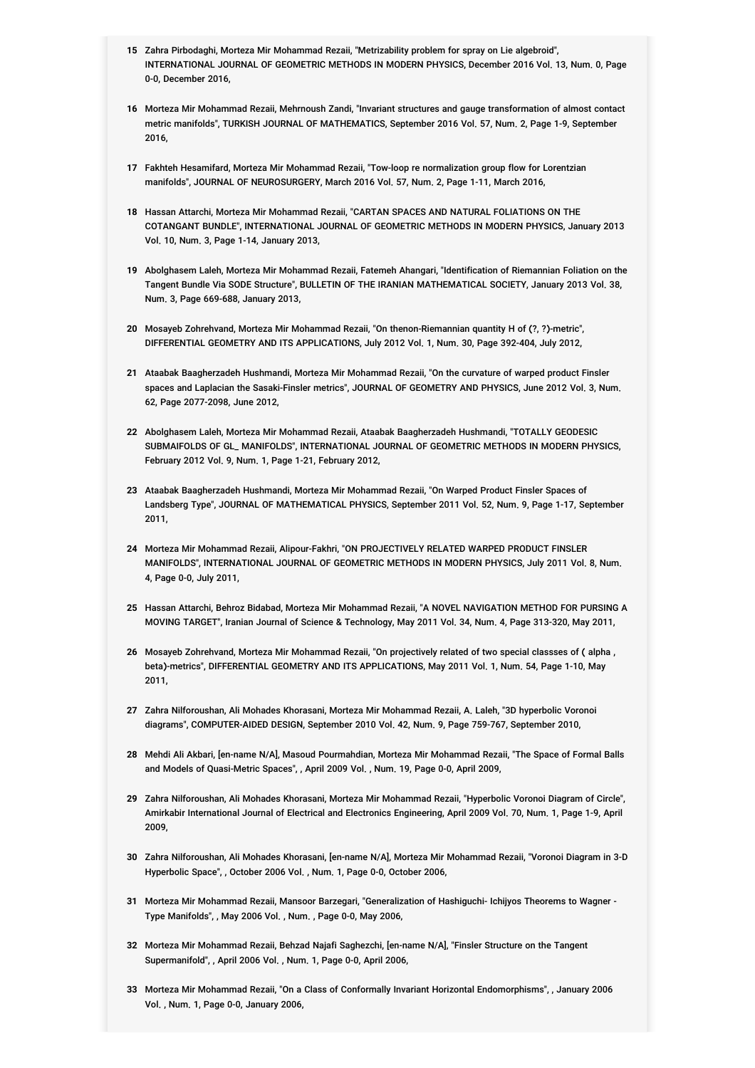- **15** Zahra Pirbodaghi, Morteza Mir Mohammad Rezaii, "Metrizability problem for spray on Lie algebroid", INTERNATIONAL JOURNAL OF GEOMETRIC METHODS IN MODERN PHYSICS, December 2016 Vol. 13, Num. 0, Page 0-0, December 2016,
- **16** Morteza Mir Mohammad Rezaii, Mehrnoush Zandi, "Invariant structures and gauge transformation of almost contact metric manifolds", TURKISH JOURNAL OF MATHEMATICS, September 2016 Vol. 57, Num. 2, Page 1-9, September 2016,
- **17** Fakhteh Hesamifard, Morteza Mir Mohammad Rezaii, "Tow-loop re normalization group flow for Lorentzian manifolds", JOURNAL OF NEUROSURGERY, March 2016 Vol. 57, Num. 2, Page 1-11, March 2016,
- **18** Hassan Attarchi, Morteza Mir Mohammad Rezaii, "CARTAN SPACES AND NATURAL FOLIATIONS ON THE COTANGANT BUNDLE", INTERNATIONAL JOURNAL OF GEOMETRIC METHODS IN MODERN PHYSICS, January 2013 Vol. 10, Num. 3, Page 1-14, January 2013,
- **19** Abolghasem Laleh, Morteza Mir Mohammad Rezaii, Fatemeh Ahangari, "Identification of Riemannian Foliation on the Tangent Bundle Via SODE Structure", BULLETIN OF THE IRANIAN MATHEMATICAL SOCIETY, January 2013 Vol. 38, Num. 3, Page 669-688, January 2013,
- **20** Mosayeb Zohrehvand, Morteza Mir Mohammad Rezaii, "On thenon-Riemannian quantity H of (?, ?)-metric", DIFFERENTIAL GEOMETRY AND ITS APPLICATIONS, July 2012 Vol. 1, Num. 30, Page 392-404, July 2012,
- **21** Ataabak Baagherzadeh Hushmandi, Morteza Mir Mohammad Rezaii, "On the curvature of warped product Finsler spaces and Laplacian the Sasaki-Finsler metrics", JOURNAL OF GEOMETRY AND PHYSICS, June 2012 Vol. 3, Num. 62, Page 2077-2098, June 2012,
- **22** Abolghasem Laleh, Morteza Mir Mohammad Rezaii, Ataabak Baagherzadeh Hushmandi, "TOTALLY GEODESIC SUBMAIFOLDS OF GL\_ MANIFOLDS", INTERNATIONAL JOURNAL OF GEOMETRIC METHODS IN MODERN PHYSICS, February 2012 Vol. 9, Num. 1, Page 1-21, February 2012,
- **23** Ataabak Baagherzadeh Hushmandi, Morteza Mir Mohammad Rezaii, "On Warped Product Finsler Spaces of Landsberg Type", JOURNAL OF MATHEMATICAL PHYSICS, September 2011 Vol. 52, Num. 9, Page 1-17, September 2011,
- **24** Morteza Mir Mohammad Rezaii, Alipour-Fakhri, "ON PROJECTIVELY RELATED WARPED PRODUCT FINSLER MANIFOLDS", INTERNATIONAL JOURNAL OF GEOMETRIC METHODS IN MODERN PHYSICS, July 2011 Vol. 8, Num. 4, Page 0-0, July 2011,
- **25** Hassan Attarchi, Behroz Bidabad, Morteza Mir Mohammad Rezaii, "A NOVEL NAVIGATION METHOD FOR PURSING A MOVING TARGET", Iranian Journal of Science & Technology, May 2011 Vol. 34, Num. 4, Page 313-320, May 2011,
- **26** Mosayeb Zohrehvand, Morteza Mir Mohammad Rezaii, "On projectively related of two special classses of ( alpha , beta)-metrics", DIFFERENTIAL GEOMETRY AND ITS APPLICATIONS, May 2011 Vol. 1, Num. 54, Page 1-10, May 2011,
- **27** Zahra Nilforoushan, Ali Mohades Khorasani, Morteza Mir Mohammad Rezaii, A. Laleh, "3D hyperbolic Voronoi diagrams", COMPUTER-AIDED DESIGN, September 2010 Vol. 42, Num. 9, Page 759-767, September 2010,
- **28** Mehdi Ali Akbari, [en-name N/A], Masoud Pourmahdian, Morteza Mir Mohammad Rezaii, "The Space of Formal Balls and Models of Quasi-Metric Spaces", , April 2009 Vol. , Num. 19, Page 0-0, April 2009,
- **29** Zahra Nilforoushan, Ali Mohades Khorasani, Morteza Mir Mohammad Rezaii, "Hyperbolic Voronoi Diagram of Circle", Amirkabir International Journal of Electrical and Electronics Engineering, April 2009 Vol. 70, Num. 1, Page 1-9, April 2009,
- **30** Zahra Nilforoushan, Ali Mohades Khorasani, [en-name N/A], Morteza Mir Mohammad Rezaii, "Voronoi Diagram in 3-D Hyperbolic Space", , October 2006 Vol. , Num. 1, Page 0-0, October 2006,
- **31** Morteza Mir Mohammad Rezaii, Mansoor Barzegari, "Generalization of Hashiguchi- Ichijyos Theorems to Wagner Type Manifolds", , May 2006 Vol. , Num. , Page 0-0, May 2006,
- **32** Morteza Mir Mohammad Rezaii, Behzad Najafi Saghezchi, [en-name N/A], "Finsler Structure on the Tangent Supermanifold", , April 2006 Vol. , Num. 1, Page 0-0, April 2006,
- **33** Morteza Mir Mohammad Rezaii, "On a Class of Conformally Invariant Horizontal Endomorphisms", , January 2006 Vol. , Num. 1, Page 0-0, January 2006,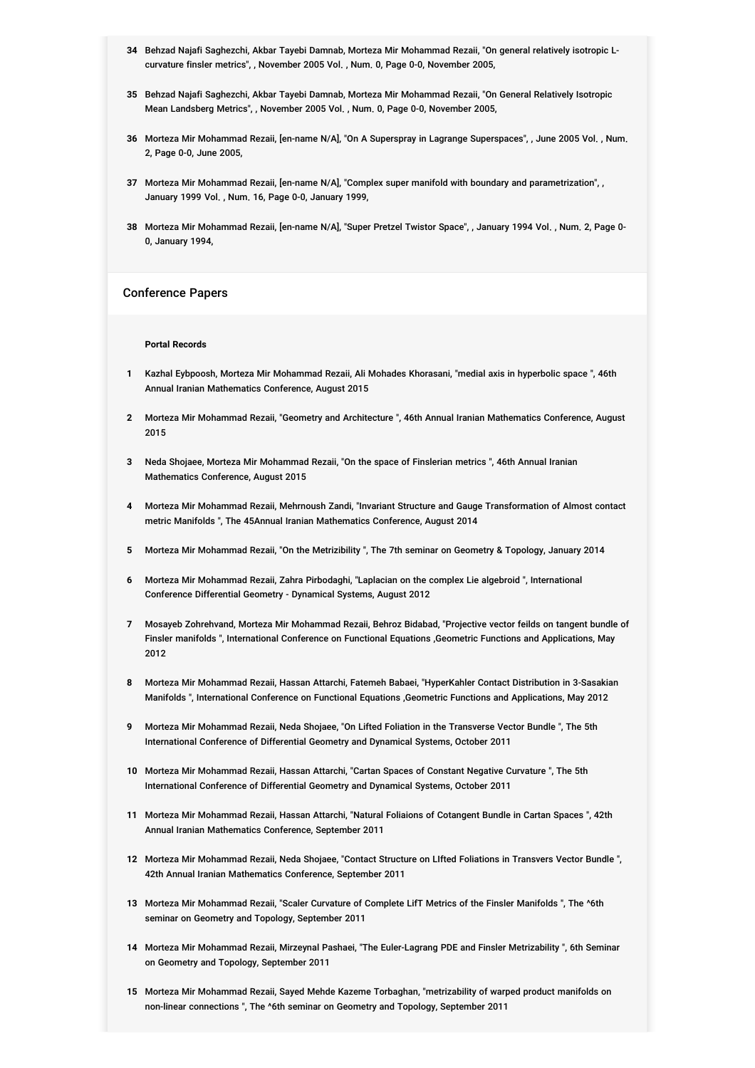- **34** Behzad Najafi Saghezchi, Akbar Tayebi Damnab, Morteza Mir Mohammad Rezaii, "On general relatively isotropic Lcurvature finsler metrics", , November 2005 Vol. , Num. 0, Page 0-0, November 2005,
- **35** Behzad Najafi Saghezchi, Akbar Tayebi Damnab, Morteza Mir Mohammad Rezaii, "On General Relatively Isotropic Mean Landsberg Metrics", , November 2005 Vol. , Num. 0, Page 0-0, November 2005,
- **36** Morteza Mir Mohammad Rezaii, [en-name N/A], "On A Superspray in Lagrange Superspaces", , June 2005 Vol. , Num. 2, Page 0-0, June 2005,
- **37** Morteza Mir Mohammad Rezaii, [en-name N/A], "Complex super manifold with boundary and parametrization", , January 1999 Vol. , Num. 16, Page 0-0, January 1999,
- **38** Morteza Mir Mohammad Rezaii, [en-name N/A], "Super Pretzel Twistor Space", , January 1994 Vol. , Num. 2, Page 0- 0, January 1994,

### Conference Papers

#### **Portal Records**

- **1** Kazhal Eybpoosh, Morteza Mir Mohammad Rezaii, Ali Mohades Khorasani, "medial axis in hyperbolic space ", 46th Annual Iranian Mathematics Conference, August 2015
- **2** Morteza Mir Mohammad Rezaii, "Geometry and Architecture ", 46th Annual Iranian Mathematics Conference, August 2015
- **3** Neda Shojaee, Morteza Mir Mohammad Rezaii, "On the space of Finslerian metrics ", 46th Annual Iranian Mathematics Conference, August 2015
- **4** Morteza Mir Mohammad Rezaii, Mehrnoush Zandi, "Invariant Structure and Gauge Transformation of Almost contact metric Manifolds ", The 45Annual Iranian Mathematics Conference, August 2014
- **5** Morteza Mir Mohammad Rezaii, "On the Metrizibility ", The 7th seminar on Geometry & Topology, January 2014
- **6** Morteza Mir Mohammad Rezaii, Zahra Pirbodaghi, "Laplacian on the complex Lie algebroid ", International Conference Differential Geometry - Dynamical Systems, August 2012
- **7** Mosayeb Zohrehvand, Morteza Mir Mohammad Rezaii, Behroz Bidabad, "Projective vector feilds on tangent bundle of Finsler manifolds ", International Conference on Functional Equations ,Geometric Functions and Applications, May 2012
- **8** Morteza Mir Mohammad Rezaii, Hassan Attarchi, Fatemeh Babaei, "HyperKahler Contact Distribution in 3-Sasakian Manifolds ", International Conference on Functional Equations ,Geometric Functions and Applications, May 2012
- **9** Morteza Mir Mohammad Rezaii, Neda Shojaee, "On Lifted Foliation in the Transverse Vector Bundle ", The 5th International Conference of Differential Geometry and Dynamical Systems, October 2011
- **10** Morteza Mir Mohammad Rezaii, Hassan Attarchi, "Cartan Spaces of Constant Negative Curvature ", The 5th International Conference of Differential Geometry and Dynamical Systems, October 2011
- **11** Morteza Mir Mohammad Rezaii, Hassan Attarchi, "Natural Foliaions of Cotangent Bundle in Cartan Spaces ", 42th Annual Iranian Mathematics Conference, September 2011
- **12** Morteza Mir Mohammad Rezaii, Neda Shojaee, "Contact Structure on LIfted Foliations in Transvers Vector Bundle ", 42th Annual Iranian Mathematics Conference, September 2011
- **13** Morteza Mir Mohammad Rezaii, "Scaler Curvature of Complete LifT Metrics of the Finsler Manifolds ", The ^6th seminar on Geometry and Topology, September 2011
- **14** Morteza Mir Mohammad Rezaii, Mirzeynal Pashaei, "The Euler-Lagrang PDE and Finsler Metrizability ", 6th Seminar on Geometry and Topology, September 2011
- **15** Morteza Mir Mohammad Rezaii, Sayed Mehde Kazeme Torbaghan, "metrizability of warped product manifolds on non-linear connections ", The ^6th seminar on Geometry and Topology, September 2011